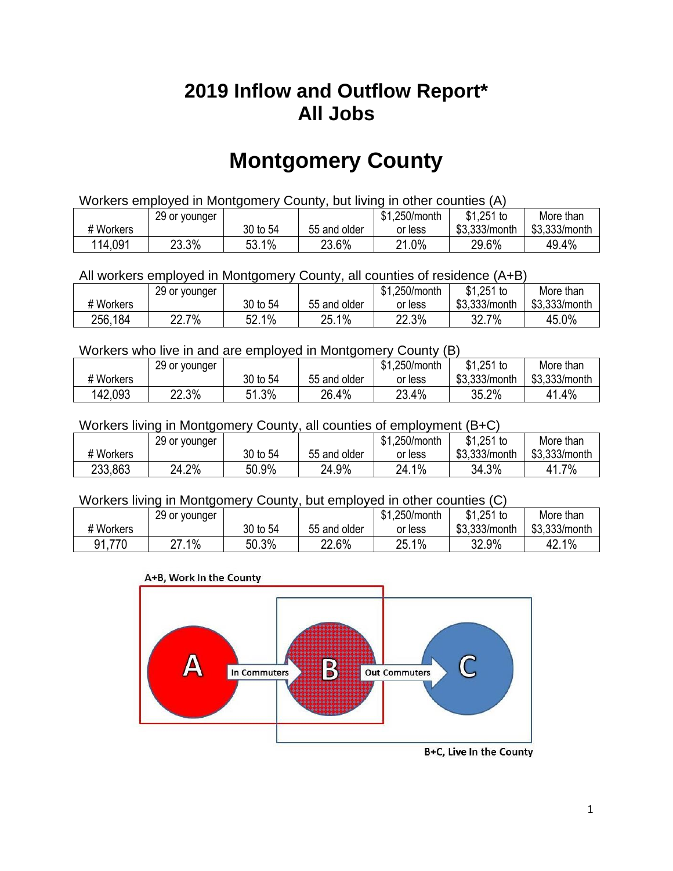## **2019 Inflow and Outflow Report\* All Jobs**

# **Montgomery County**

| Workers employed in Montgomery County, but living in other counties (A) |                                                            |          |              |         |               |               |  |  |  |
|-------------------------------------------------------------------------|------------------------------------------------------------|----------|--------------|---------|---------------|---------------|--|--|--|
|                                                                         | $$1,251$ to<br>\$1,250/month<br>More than<br>29 or younger |          |              |         |               |               |  |  |  |
| # Workers                                                               |                                                            | 30 to 54 | 55 and older | or less | \$3.333/month | \$3,333/month |  |  |  |
| 114,091                                                                 | 23.3%                                                      | 53.1%    | 23.6%        | 21.0%   | 29.6%         | 49.4%         |  |  |  |

#### All workers employed in Montgomery County, all counties of residence (A+B)

|           | 29 or younger |          |              | \$1,250/month | \$1,251 to    | More than     |
|-----------|---------------|----------|--------------|---------------|---------------|---------------|
| # Workers |               | 30 to 54 | 55 and older | or less       | \$3,333/month | \$3,333/month |
| 256,184   | 22.7%         | 52.1%    | 25.1%        | 22.3%         | 32.7<br>7%    | 45.0%         |

#### Workers who live in and are employed in Montgomery County (B)

|           | 29 or younger |              |              | \$1,250/month | $$1,251$ to   | More than     |
|-----------|---------------|--------------|--------------|---------------|---------------|---------------|
| # Workers |               | 30 to 54     | 55 and older | or less       | \$3,333/month | \$3,333/month |
| 142.093   | 22.3%         | 1 3%،<br>- 4 | 26.4%        | 23.4%         | 35.2%         | 41.4%         |

#### Workers living in Montgomery County, all counties of employment (B+C)

|           | 29 or younger |          |              | \$1,250/month | $$1,251$ to   | More than     |
|-----------|---------------|----------|--------------|---------------|---------------|---------------|
| # Workers |               | 30 to 54 | 55 and older | or less       | \$3,333/month | \$3,333/month |
| 233,863   | 24.2%         | 50.9%    | 24.9%        | $1\%$<br>24.1 | 34.3%         | 41.7%         |

#### Workers living in Montgomery County, but employed in other counties (C)

| ------<br>. |               |          |              |               |               |               |  |  |
|-------------|---------------|----------|--------------|---------------|---------------|---------------|--|--|
|             | 29 or younger |          |              | \$1,250/month | $$1,251$ to   | More than     |  |  |
| # Workers   |               | 30 to 54 | 55 and older | or less       | \$3,333/month | \$3,333/month |  |  |
| 91,770      | 27.1%         | 50.3%    | 22.6%        | 25.1%         | 32.9%         | 42.1%         |  |  |

#### A+B, Work In the County